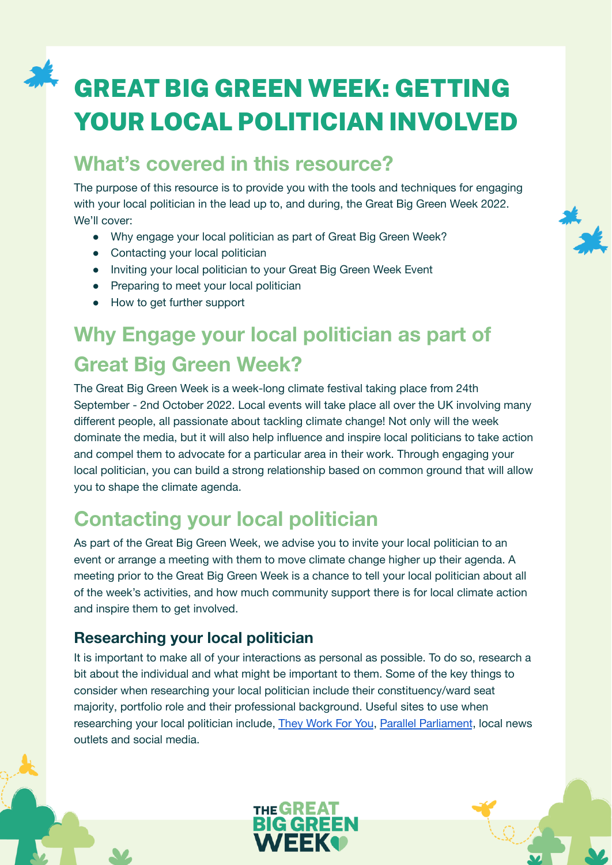# GREAT BIG GREEN WEEK: GETTING YOUR LOCAL POLITICIAN INVOLVED

### **What's covered in this resource?**

The purpose of this resource is to provide you with the tools and techniques for engaging with your local politician in the lead up to, and during, the Great Big Green Week 2022. We'll cover:

- Why engage your local politician as part of Great Big Green Week?
- Contacting your local politician
- Inviting your local politician to your Great Big Green Week Event
- Preparing to meet your local politician
- How to get further support

# **Why Engage your local politician as part of Great Big Green Week?**

The Great Big Green Week is a week-long climate festival taking place from 24th September - 2nd October 2022. Local events will take place all over the UK involving many different people, all passionate about tackling climate change! Not only will the week dominate the media, but it will also help influence and inspire local politicians to take action and compel them to advocate for a particular area in their work. Through engaging your local politician, you can build a strong relationship based on common ground that will allow you to shape the climate agenda.

### **Contacting your local politician**

As part of the Great Big Green Week, we advise you to invite your local politician to an event or arrange a meeting with them to move climate change higher up their agenda. A meeting prior to the Great Big Green Week is a chance to tell your local politician about all of the week's activities, and how much community support there is for local climate action and inspire them to get involved.

### **Researching your local politician**

It is important to make all of your interactions as personal as possible. To do so, research a bit about the individual and what might be important to them. Some of the key things to consider when researching your local politician include their constituency/ward seat majority, portfolio role and their professional background. Useful sites to use when researching your local politician include, They [Work](https://www.theyworkforyou.com/) For You, Parallel [Parliament](https://www.parallelparliament.co.uk/), local news outlets and social media.

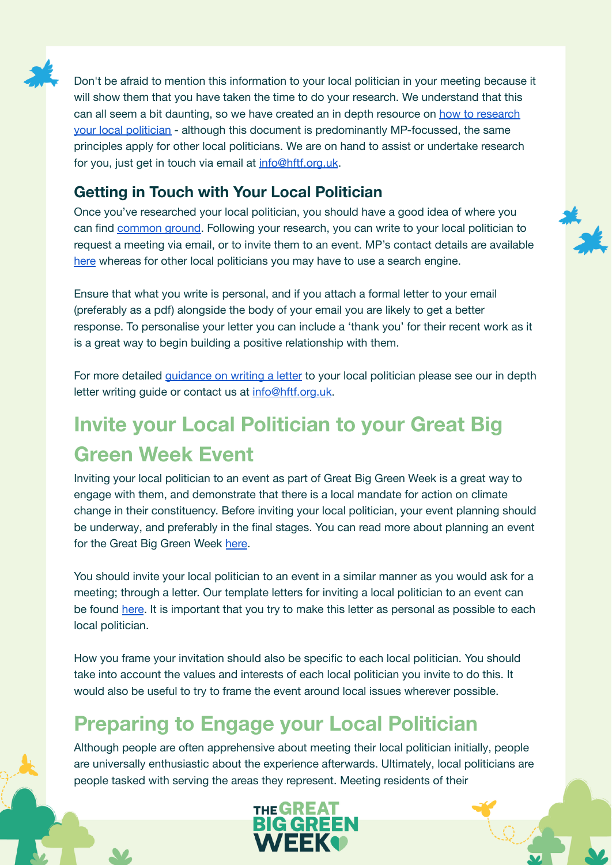

Don't be afraid to mention this information to your local politician in your meeting because it will show them that you have taken the time to do your research. We understand that this can all seem a bit daunting, so we have created an in depth resource on how to [research](https://docs.google.com/document/d/1ozyqzkBfQkjyD5BpID_IZJxCBdRVxulVmD5pn-ULZGc/edit) your local [politician](https://docs.google.com/document/d/1ozyqzkBfQkjyD5BpID_IZJxCBdRVxulVmD5pn-ULZGc/edit) - although this document is predominantly MP-focussed, the same principles apply for other local politicians. We are on hand to assist or undertake research for you, just get in touch via email at [info@hftf.org.uk](mailto:info@hftf.org.uk).

### **Getting in Touch with Your Local Politician**

Once you've researched your local politician, you should have a good idea of where you can find [common](https://docs.google.com/document/d/1jKBP9y-sZLjMoGZu1Px1zui3KQdUWc48o3DgEqc0agw/edit#bookmark=id.k78dk1qutzl0) ground. Following your research, you can write to your local politician to request a meeting via email, or to invite them to an event. MP's contact details are available [here](https://www.parliament.uk/get-involved/contact-an-mp-or-lord/contact-your-mp/) whereas for other local politicians you may have to use a search engine.

Ensure that what you write is personal, and if you attach a formal letter to your email (preferably as a pdf) alongside the body of your email you are likely to get a better response. To personalise your letter you can include a 'thank you' for their recent work as it is a great way to begin building a positive relationship with them.

For more detailed *[guidance](https://docs.google.com/document/d/1jKBP9y-sZLjMoGZu1Px1zui3KQdUWc48o3DgEqc0agw/edit) on writing a letter* to your local politician please see our in depth letter writing guide or contact us at [info@hftf.org.uk](mailto:info@hftf.org.uk).

# **Invite your Local Politician to your Great Big Green Week Event**

Inviting your local politician to an event as part of Great Big Green Week is a great way to engage with them, and demonstrate that there is a local mandate for action on climate change in their constituency. Before inviting your local politician, your event planning should be underway, and preferably in the final stages. You can read more about planning an event for the Great Big Green Week [here.](https://greatbiggreenweek.com/resources/)

You should invite your local politician to an event in a similar manner as you would ask for a meeting; through a letter. Our template letters for inviting a local politician to an event can be found [here](https://docs.google.com/document/d/1wF6L4B3p_bNGVWpRrhzCe8hBfEQy3KzAcUz4gwkQymE/edit?usp=sharing). It is important that you try to make this letter as personal as possible to each local politician.

How you frame your invitation should also be specific to each local politician. You should take into account the values and interests of each local politician you invite to do this. It would also be useful to try to frame the event around local issues wherever possible.

### **Preparing to Engage your Local Politician**

Although people are often apprehensive about meeting their local politician initially, people are universally enthusiastic about the experience afterwards. Ultimately, local politicians are people tasked with serving the areas they represent. Meeting residents of their

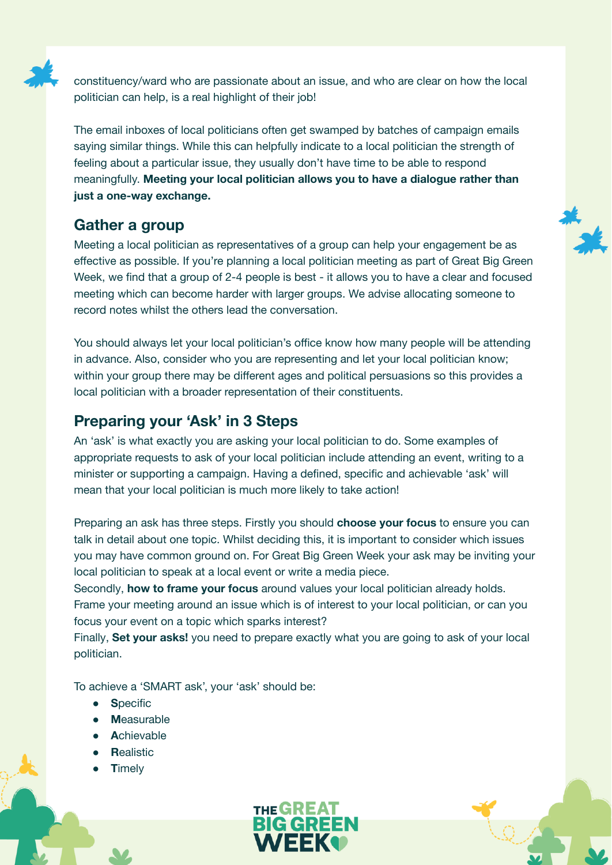

constituency/ward who are passionate about an issue, and who are clear on how the local politician can help, is a real highlight of their job!

The email inboxes of local politicians often get swamped by batches of campaign emails saying similar things. While this can helpfully indicate to a local politician the strength of feeling about a particular issue, they usually don't have time to be able to respond meaningfully. **Meeting your local politician allows you to have a dialogue rather than just a one-way exchange.**

#### **Gather a group**

Meeting a local politician as representatives of a group can help your engagement be as effective as possible. If you're planning a local politician meeting as part of Great Big Green Week, we find that a group of 2-4 people is best - it allows you to have a clear and focused meeting which can become harder with larger groups. We advise allocating someone to record notes whilst the others lead the conversation.

You should always let your local politician's office know how many people will be attending in advance. Also, consider who you are representing and let your local politician know; within your group there may be different ages and political persuasions so this provides a local politician with a broader representation of their constituents.

#### **Preparing your 'Ask' in 3 Steps**

An 'ask' is what exactly you are asking your local politician to do. Some examples of appropriate requests to ask of your local politician include attending an event, writing to a minister or supporting a campaign. Having a defined, specific and achievable 'ask' will mean that your local politician is much more likely to take action!

Preparing an ask has three steps. Firstly you should **choose your focus** to ensure you can talk in detail about one topic. Whilst deciding this, it is important to consider which issues you may have common ground on. For Great Big Green Week your ask may be inviting your local politician to speak at a local event or write a media piece.

Secondly, **how to frame your focus** around values your local politician already holds. Frame your meeting around an issue which is of interest to your local politician, or can you focus your event on a topic which sparks interest?

Finally, **Set your asks!** you need to prepare exactly what you are going to ask of your local politician.

To achieve a 'SMART ask', your 'ask' should be:

- **S**pecific
- **M**easurable
- **A**chievable
- **Realistic**
- **T**imely